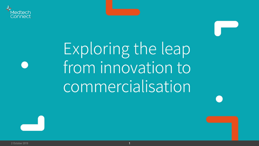

## Exploring the leap from innovation to commercialisation



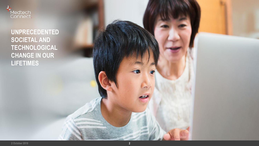

**UNPRECEDENTED SOCIETAL AND TECHNOLOGICAL CHANGE IN OUR LIFETIMES**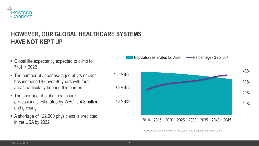

#### **HOWEVER, OUR GLOBAL HEALTHCARE SYSTEMS HAVE NOT KEPT UP**

- Global life expectancy expected to climb to 74.4 in 2022
- The number of Japanese aged 65yrs or over has increased 4x over 40 years with rural areas particularly bearing this burden
- The shortage of global healthcare professionals estimated by WHO is 4.3 million, and growing
- A shortage of 122,000 physicians is predicted in the USA by 2032

Population estimates for Japan  $\longrightarrow$  Percentage (%) of 65+



**Source:** National Institute of Population and Social Security Research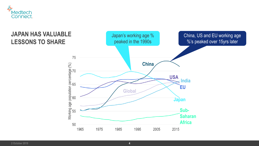

#### **JAPAN HAS VALUABLE LESSONS TO SHARE**

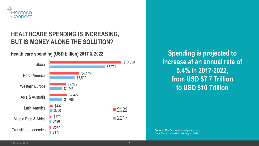

### **HEALTHCARE SPENDING IS INCREASING, BUT IS MONEY ALONE THE SOLUTION?**

#### **Health care spending (USD billion) 2017 & 2022**



**Spending is projected to increase at an annual rate of 5.4% in 2017-2022, from USD \$7.7 Trillion to USD \$10 Trillion**

**Source:** The Economic Intelligence Unit, Data Tool accessed on 16 August 2018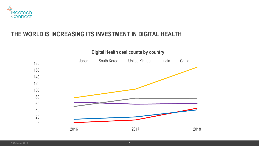

#### **THE WORLD IS INCREASING ITS INVESTMENT IN DIGITAL HEALTH**

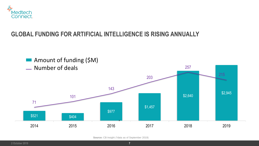

#### **GLOBAL FUNDING FOR ARTIFICIAL INTELLIGENCE IS RISING ANNUALLY**



**Source:** CB Insight (\*data as of September 2019)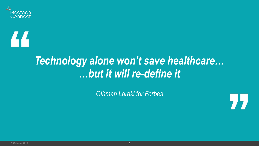

# 44

### *Technology alone won't save healthcare… …but it will re-define it*

*Othman Laraki for Forbes*



**2 October 2019 8**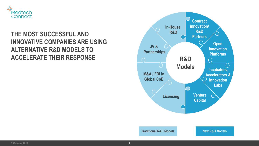

#### **THE MOST SUCCESSFUL AND INNOVATIVE COMPANIES ARE USING ALTERNATIVE R&D MODELS TO ACCELERATE THEIR RESPONSE**

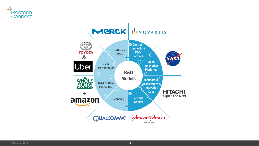